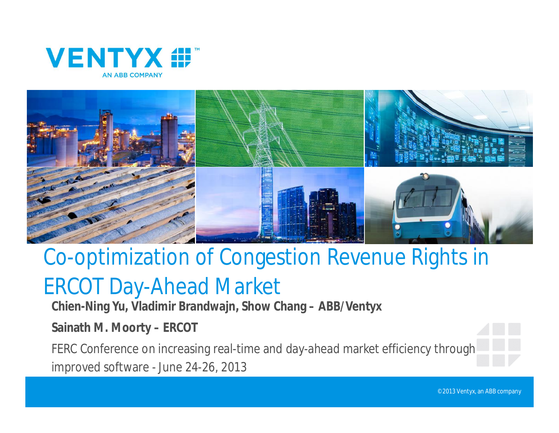



# Co-optimization of Congestion Revenue Rights in

## ERCOT Day-Ahead Market

**Chien-Ning Yu, Vladimir Brandwajn, Show Chang – ABB/Ventyx**

**Sainath M. Moorty – ERCOT** 

FERC Conference on increasing real-time and day-ahead market efficiency through improved software - June 24-26, 2013

©2013 Ventyx, an ABB company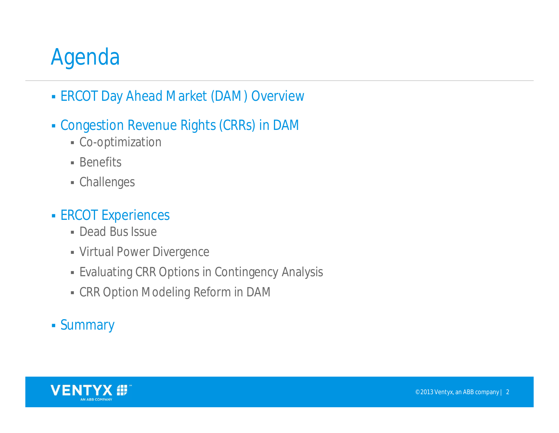# Agenda

- **ERCOT Day Ahead Market (DAM) Overview**
- Congestion Revenue Rights (CRRs) in DAM
	- Co-optimization
	- **Benefits**
	- Challenges

#### **ERCOT Experiences**

- Dead Bus Issue
- Virtual Power Divergence
- Evaluating CRR Options in Contingency Analysis
- CRR Option Modeling Reform in DAM

#### Summary

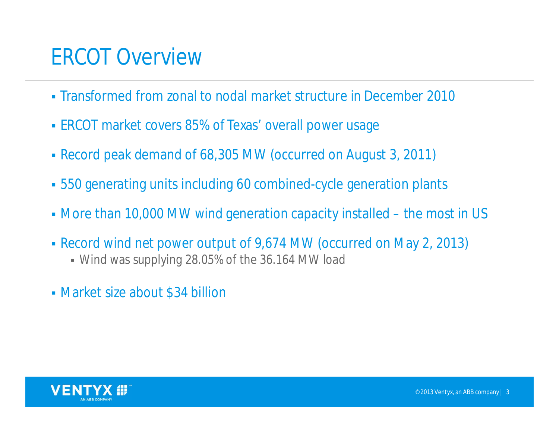#### ERCOT Overview

- Transformed from zonal to nodal market structure in December 2010
- **ERCOT market covers 85% of Texas' overall power usage**
- Record peak demand of 68,305 MW (occurred on August 3, 2011)
- 550 generating units including 60 combined-cycle generation plants
- More than 10,000 MW wind generation capacity installed the most in US
- Record wind net power output of 9,674 MW (occurred on May 2, 2013)
	- Wind was supplying 28.05% of the 36.164 MW load
- Market size about \$34 billion

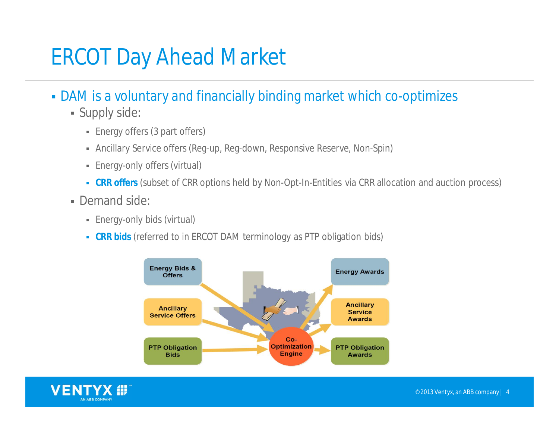## ERCOT Day Ahead Market

- DAM is a voluntary and financially binding market which co-optimizes
	- Supply side:
		- Energy offers (3 part offers)
		- Ancillary Service offers (Reg-up, Reg-down, Responsive Reserve, Non-Spin)
		- Energy-only offers (virtual)
		- **CRR offers** (subset of CRR options held by Non-Opt-In-Entities via CRR allocation and auction process)
	- Demand side:
		- Energy-only bids (virtual)
		- **CRR bids** (referred to in ERCOT DAM terminology as PTP obligation bids)



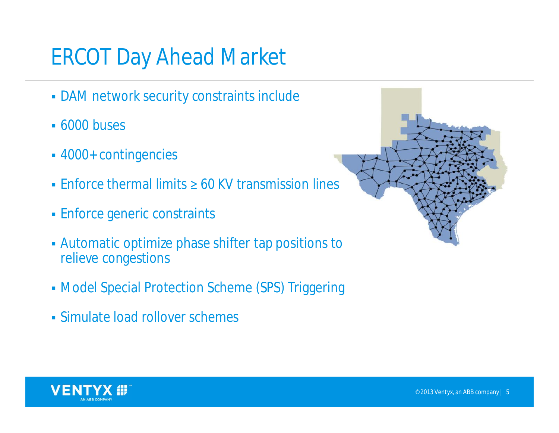# ERCOT Day Ahead Market

- DAM network security constraints include
- **6000 buses**
- 4000+ contingencies
- **Enforce thermal limits**  $\geq 60$  **KV transmission lines**
- Enforce generic constraints
- Automatic optimize phase shifter tap positions to relieve congestions
- Model Special Protection Scheme (SPS) Triggering
- Simulate load rollover schemes



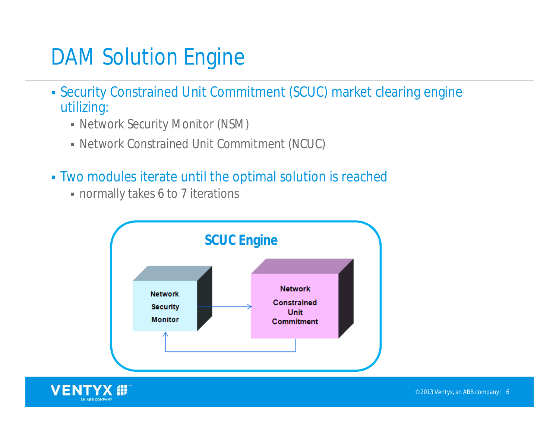# DAM Solution Engine

- Security Constrained Unit Commitment (SCUC) market clearing engine utilizing:
	- Network Security Monitor (NSM)
	- Network Constrained Unit Commitment (NCUC)
- Two modules iterate until the optimal solution is reached
	- normally takes 6 to 7 iterations



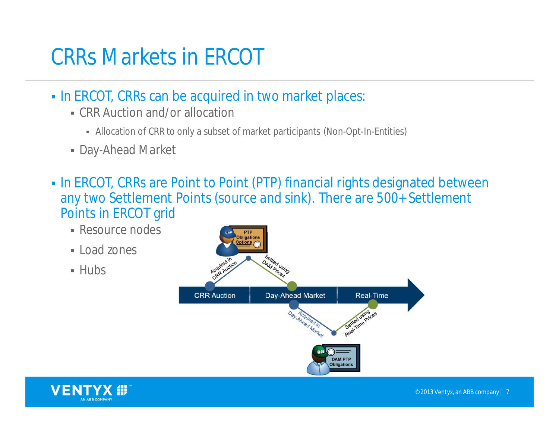# CRRs Markets in ERCOT

- In ERCOT, CRRs can be acquired in two market places:
	- CRR Auction and/or allocation
		- Allocation of CRR to only a subset of market participants (Non-Opt-In-Entities)
	- Day-Ahead Market
- In ERCOT, CRRs are Point to Point (PTP) financial rights designated between any two Settlement Points (source and sink). There are 500+ Settlement Points in ERCOT grid
	- Resource nodes
	- $\blacksquare$  Load zones
	- $-Hubs$



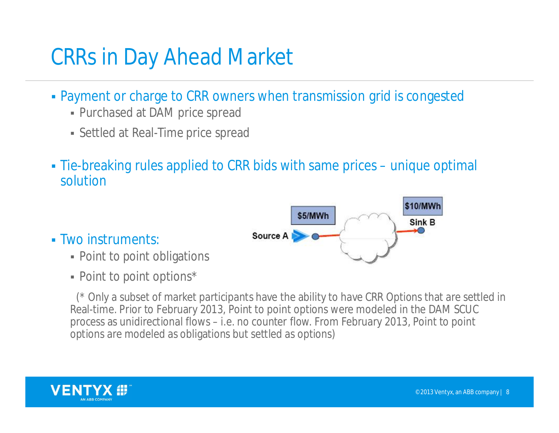## CRRs in Day Ahead Market

- Payment or charge to CRR owners when transmission grid is congested
	- Purchased at DAM price spread
	- Settled at Real-Time price spread
- Tie-breaking rules applied to CRR bids with same prices unique optimal solution
	- \$10/MWh \$5/MWh Sink B Source A
- Two instruments:
	- Point to point obligations
	- Point to point options\*

(\* Only a subset of market participants have the ability to have CRR Options that are settled in Real-time. Prior to February 2013, Point to point options were modeled in the DAM SCUC process as unidirectional flows – i.e. no counter flow. From February 2013, Point to point options are modeled as obligations but settled as options)

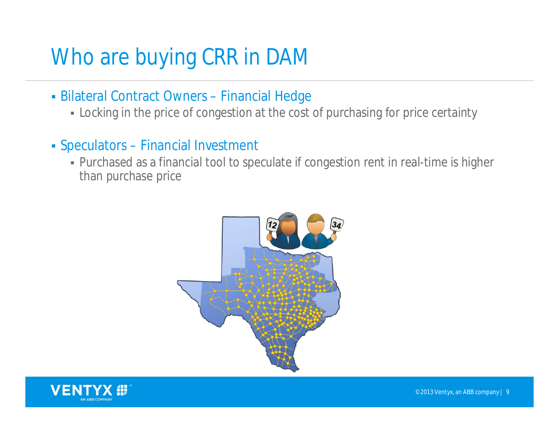# Who are buying CRR in DAM

- Bilateral Contract Owners Financial Hedge
	- Locking in the price of congestion at the cost of purchasing for price certainty
- Speculators Financial Investment
	- Purchased as a financial tool to speculate if congestion rent in real-time is higher than purchase price



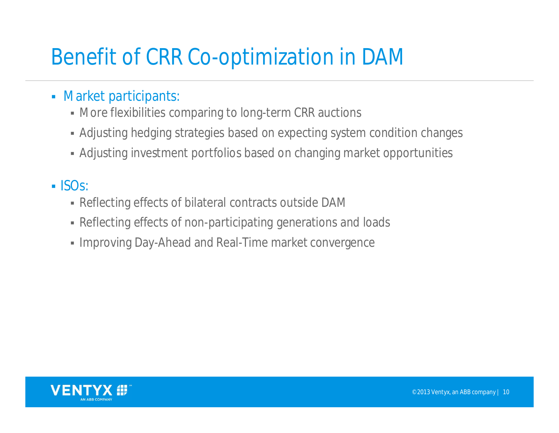# Benefit of CRR Co-optimization in DAM

- **Market participants:** 
	- More flexibilities comparing to long-term CRR auctions
	- Adjusting hedging strategies based on expecting system condition changes
	- Adjusting investment portfolios based on changing market opportunities

#### $\blacksquare$  ISOs:

- Reflecting effects of bilateral contracts outside DAM
- Reflecting effects of non-participating generations and loads
- **Improving Day-Ahead and Real-Time market convergence**

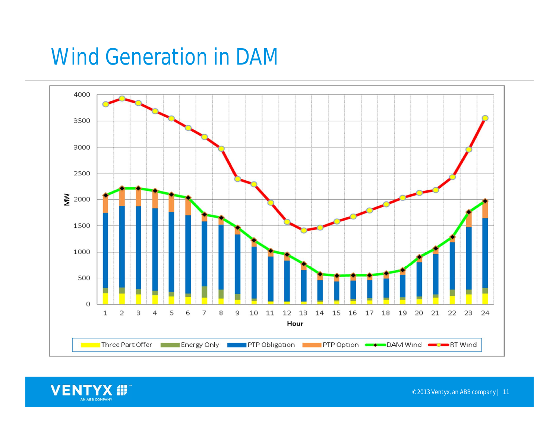## Wind Generation in DAM



VENTYX # AN ABB COMPANY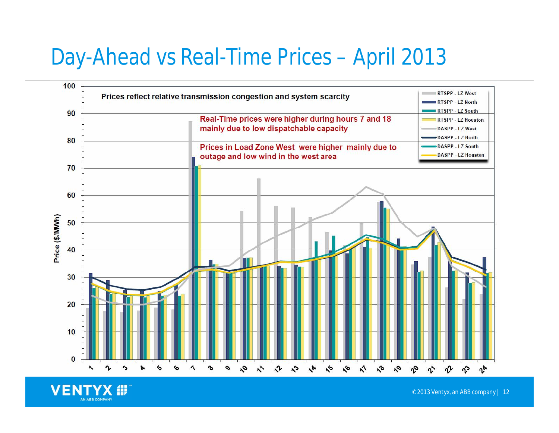## Day-Ahead vs Real-Time Prices – April 2013



**VENT** AN ABB COMPANY

©2013 Ventyx, an ABB company | 12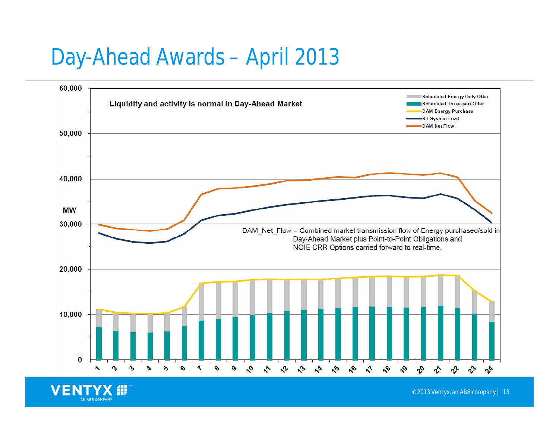#### Day-Ahead Awards – April 2013

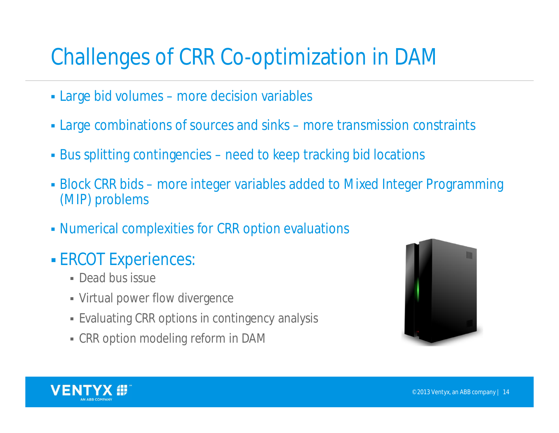# Challenges of CRR Co-optimization in DAM

- Large bid volumes more decision variables
- Large combinations of sources and sinks more transmission constraints
- Bus splitting contingencies need to keep tracking bid locations
- Block CRR bids more integer variables added to Mixed Integer Programming (MIP) problems
- Numerical complexities for CRR option evaluations
- **ERCOT Experiences:** 
	- **Dead bus issue**
	- Virtual power flow divergence
	- Evaluating CRR options in contingency analysis
	- CRR option modeling reform in DAM



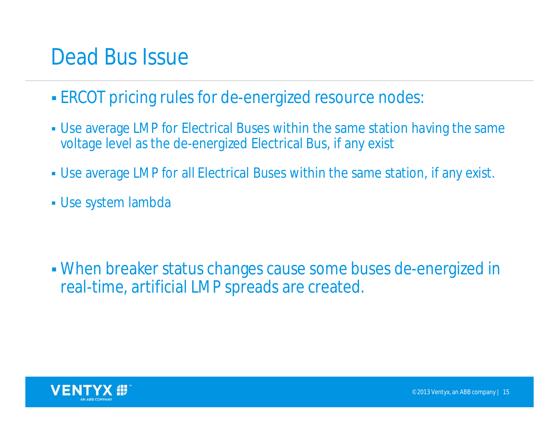#### Dead Bus Issue

- ERCOT pricing rules for de-energized resource nodes:
- Use average LMP for Electrical Buses within the same station having the same voltage level as the de-energized Electrical Bus, if any exist
- Use average LMP for all Electrical Buses within the same station, if any exist.
- Use system lambda

 When breaker status changes cause some buses de-energized in real-time, artificial LMP spreads are created.

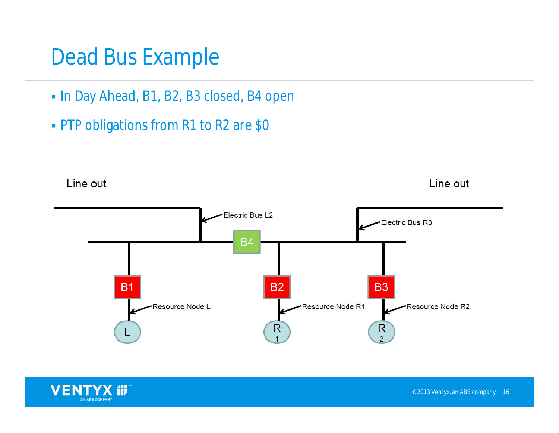#### Dead Bus Example

- $\blacksquare$  In Day Ahead, B1, B2, B3 closed, B4 open
- **PTP obligations from R1 to R2 are \$0**



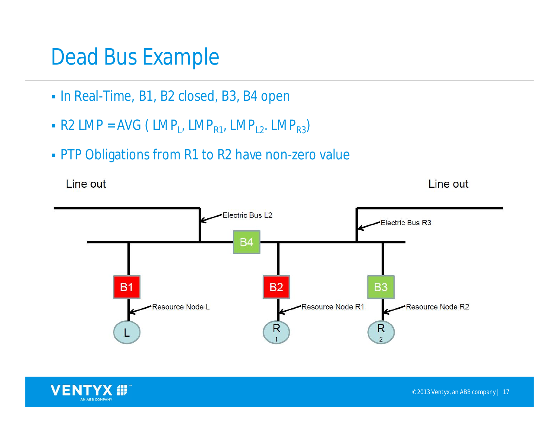#### Dead Bus Example

- In Real-Time, B1, B2 closed, B3, B4 open
- $\blacksquare$  R2 LMP = AVG ( LMP<sub>L</sub>, LMP<sub>R1</sub>, LMP<sub>L2</sub>. LMP<sub>R3</sub>)
- **PTP Obligations from R1 to R2 have non-zero value**

Line out

Line out



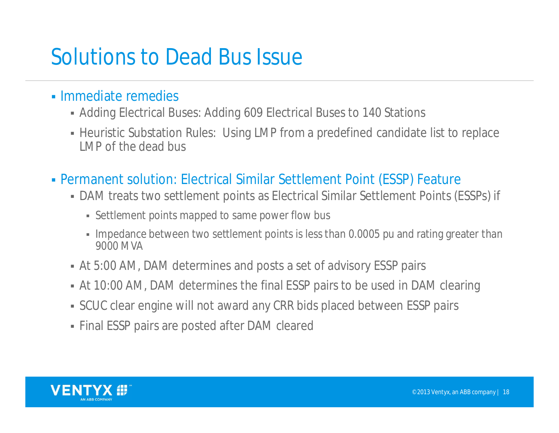## Solutions to Dead Bus Issue

- Immediate remedies
	- Adding Electrical Buses: Adding 609 Electrical Buses to 140 Stations
	- Heuristic Substation Rules: Using LMP from a predefined candidate list to replace LMP of the dead bus
- Permanent solution: Electrical Similar Settlement Point (ESSP) Feature
	- DAM treats two settlement points as Electrical Similar Settlement Points (ESSPs) if
		- Settlement points mapped to same power flow bus
		- Impedance between two settlement points is less than 0.0005 pu and rating greater than 9000 MVA
	- At 5:00 AM, DAM determines and posts a set of advisory ESSP pairs
	- At 10:00 AM, DAM determines the final ESSP pairs to be used in DAM clearing
	- SCUC clear engine will not award any CRR bids placed between ESSP pairs
	- Final ESSP pairs are posted after DAM cleared

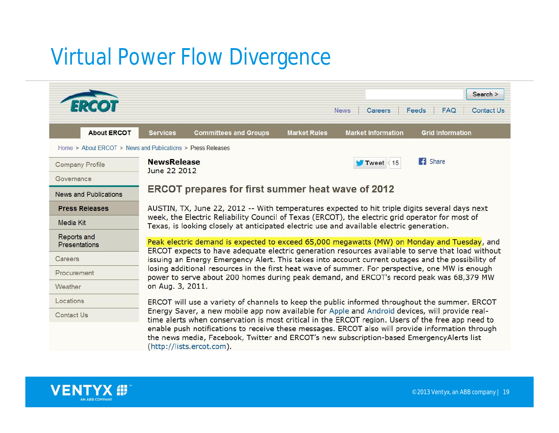# Virtual Power Flow Divergence

|                                     | Search ><br>Feeds<br><b>Contact Us</b><br><b>News</b><br><b>Careers</b><br><b>FAQ</b>                                                                                                                                                                                                                                                                                                                                                                                                                                              |
|-------------------------------------|------------------------------------------------------------------------------------------------------------------------------------------------------------------------------------------------------------------------------------------------------------------------------------------------------------------------------------------------------------------------------------------------------------------------------------------------------------------------------------------------------------------------------------|
| <b>About ERCOT</b>                  | <b>Grid Information</b><br><b>Committees and Groups</b><br><b>Market Rules</b><br><b>Market Information</b><br><b>Services</b>                                                                                                                                                                                                                                                                                                                                                                                                     |
|                                     | Home > About ERCOT > News and Publications > Press Releases                                                                                                                                                                                                                                                                                                                                                                                                                                                                        |
| <b>Company Profile</b>              | <b>B</b> Share<br><b>NewsRelease</b><br>Tweet $\leq 15$<br>June 22 2012                                                                                                                                                                                                                                                                                                                                                                                                                                                            |
| Governance                          |                                                                                                                                                                                                                                                                                                                                                                                                                                                                                                                                    |
| <b>News and Publications</b>        | <b>ERCOT prepares for first summer heat wave of 2012</b>                                                                                                                                                                                                                                                                                                                                                                                                                                                                           |
| <b>Press Releases</b>               | AUSTIN, TX, June 22, 2012 -- With temperatures expected to hit triple digits several days next<br>week, the Electric Reliability Council of Texas (ERCOT), the electric grid operator for most of<br>Texas, is looking closely at anticipated electric use and available electric generation.                                                                                                                                                                                                                                      |
| Media Kit                           |                                                                                                                                                                                                                                                                                                                                                                                                                                                                                                                                    |
| Reports and<br><b>Presentations</b> | Peak electric demand is expected to exceed 65,000 megawatts (MW) on Monday and Tuesday, and<br>ERCOT expects to have adequate electric generation resources available to serve that load without<br>issuing an Energy Emergency Alert. This takes into account current outages and the possibility of<br>losing additional resources in the first heat wave of summer. For perspective, one MW is enough<br>power to serve about 200 homes during peak demand, and ERCOT's record peak was 68,379 MW<br>on Aug. 3, 2011.           |
| Careers                             |                                                                                                                                                                                                                                                                                                                                                                                                                                                                                                                                    |
| Procurement                         |                                                                                                                                                                                                                                                                                                                                                                                                                                                                                                                                    |
| Weather                             |                                                                                                                                                                                                                                                                                                                                                                                                                                                                                                                                    |
| Locations                           | ERCOT will use a variety of channels to keep the public informed throughout the summer. ERCOT<br>Energy Saver, a new mobile app now available for Apple and Android devices, will provide real-<br>time alerts when conservation is most critical in the ERCOT region. Users of the free app need to<br>enable push notifications to receive these messages. ERCOT also will provide information through<br>the news media, Facebook, Twitter and ERCOT's new subscription-based EmergencyAlerts list<br>(http://lists.ercot.com). |
| <b>Contact Us</b>                   |                                                                                                                                                                                                                                                                                                                                                                                                                                                                                                                                    |

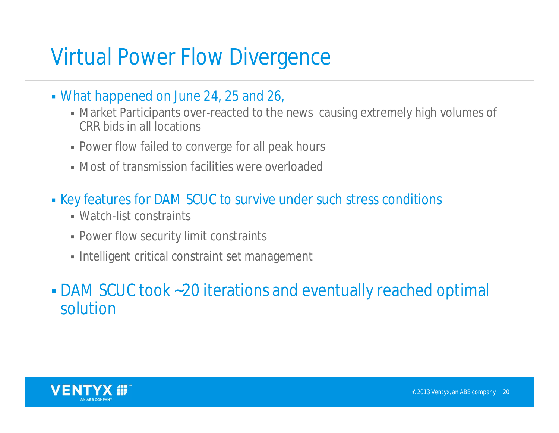### Virtual Power Flow Divergence

- What happened on June 24, 25 and 26,
	- Market Participants over-reacted to the news causing extremely high volumes of CRR bids in all locations
	- **Power flow failed to converge for all peak hours**
	- Most of transmission facilities were overloaded
- Key features for DAM SCUC to survive under such stress conditions
	- Watch-list constraints
	- Power flow security limit constraints
	- **Intelligent critical constraint set management**

 DAM SCUC took ~20 iterations and eventually reached optimal solution

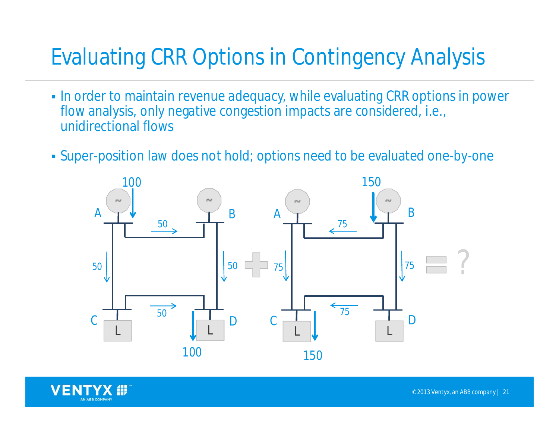# Evaluating CRR Options in Contingency Analysis

- In order to maintain revenue adequacy, while evaluating CRR options in power flow analysis, only negative congestion impacts are considered, i.e., unidirectional flows
- Super-position law does not hold; options need to be evaluated one-by-one



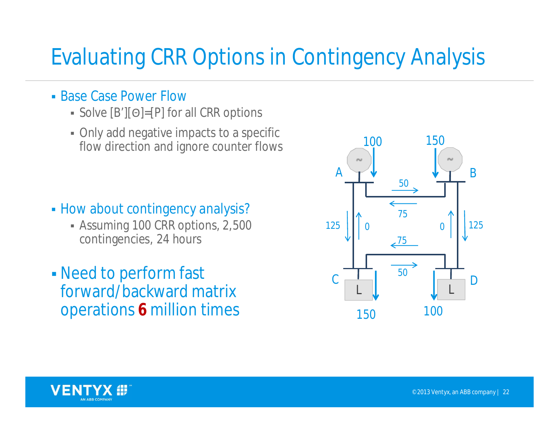## Evaluating CRR Options in Contingency Analysis

- **Base Case Power Flow** 
	- Solve  $[B'][\Theta] = [P]$  for all CRR options
	- Only add negative impacts to a specific flow direction and ignore counter flows

- **How about contingency analysis?** 
	- Assuming 100 CRR options, 2,500 contingencies, 24 hours
- Need to perform fast forward/backward matrix operations **6** million times



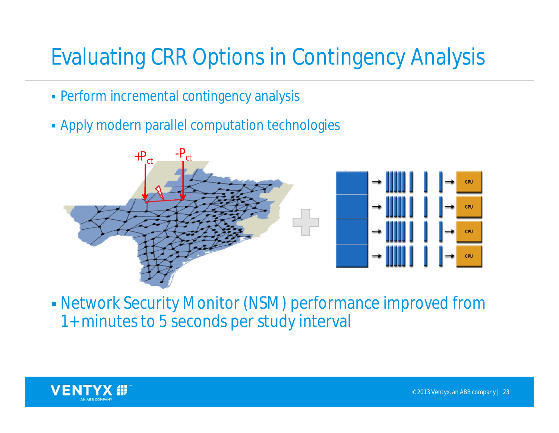# Evaluating CRR Options in Contingency Analysis

- Perform incremental contingency analysis
- Apply modern parallel computation technologies



 Network Security Monitor (NSM) performance improved from 1+ minutes to 5 seconds per study interval

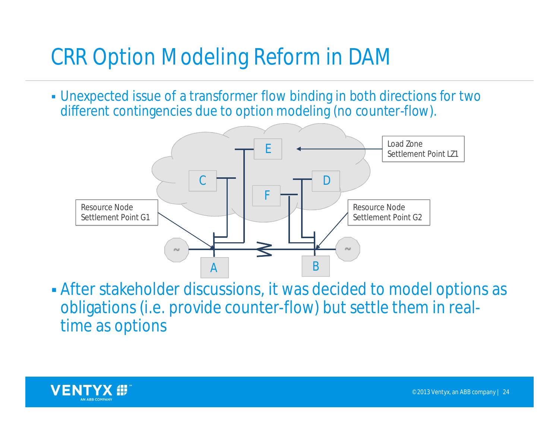# CRR Option Modeling Reform in DAM

 Unexpected issue of a transformer flow binding in both directions for two different contingencies due to option modeling (no counter-flow).



 After stakeholder discussions, it was decided to model options as obligations (i.e. provide counter-flow) but settle them in realtime as options

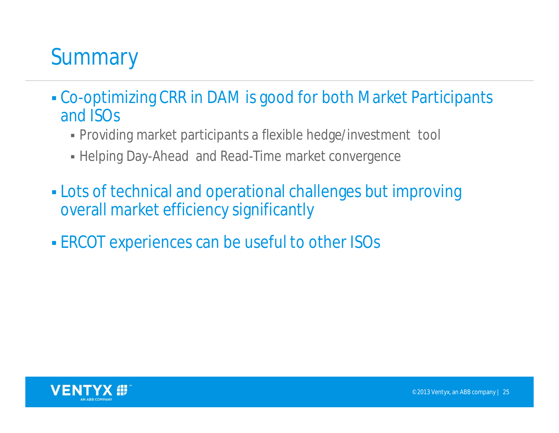# **Summary**

- Co-optimizing CRR in DAM is good for both Market Participants and ISOs
	- Providing market participants a flexible hedge/investment tool
	- Helping Day-Ahead and Read-Time market convergence
- Lots of technical and operational challenges but improving overall market efficiency significantly
- ERCOT experiences can be useful to other ISOs